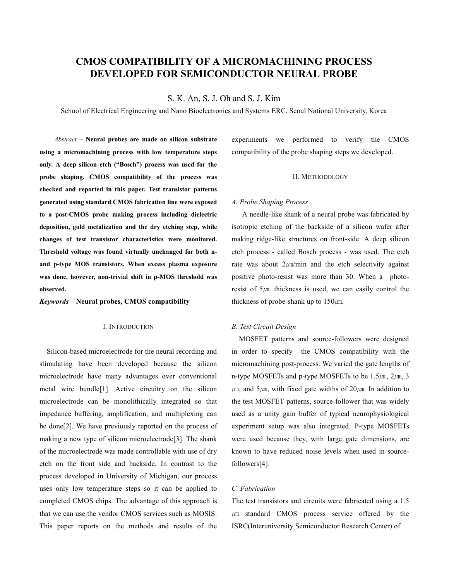# **CMOS COMPATIBILITY OF A MICROMACHINING PROCESS DEVELOPED FOR SEMICONDUCTOR NEURAL PROBE**

S. K. An, S. J. Oh and S. J. Kim

School of Electrical Engineering and Nano Bioelectronics and Systems ERC, Seoul National University, Korea

**Abstract - Neural probes are made on silicon substrate** using a micromachining process with low temperature steps only. A deep silicon etch ("Bosch") process was used for the probe shaping. CMOS compatibility of the process was checked and reported in this paper. Test transistor patterns generated using standard CMOS fabrication line were exposed to a post-CMOS probe making process including dielectric deposition, gold metalization and the dry etching step, while changes of test transistor characteristics were monitored. Threshold voltage was found virtually unchanged for both nand p-type MOS transistors. When excess plasma exposure was done, however, non-trivial shift in p-MOS threshold was observed

Keywords - Neural probes, CMOS compatibility

### I. INTRODUCTION

Silicon-based microelectrode for the neural recording and stimulating have been developed because the silicon microelectrode have many advantages over conventional metal wire bundle<sup>[1]</sup>. Active circuitry on the silicon microelectrode can be monolithically integrated so that impedance buffering, amplification, and multiplexing can be done[2]. We have previously reported on the process of making a new type of silicon microelectrode<sup>[3]</sup>. The shank of the microelectrode was made controllable with use of dry etch on the front side and backside. In contrast to the process developed in University of Michigan, our process uses only low temperature steps so it can be applied to completed CMOS chips. The advantage of this approach is that we can use the vendor CMOS services such as MOSIS. This paper reports on the methods and results of the

experiments we performed to verify the CMOS compatibility of the probe shaping steps we developed.

### **II. METHODOLOGY**

#### A. Probe Shaping Process

A needle-like shank of a neural probe was fabricated by isotropic etching of the backside of a silicon wafer after making ridge-like structures on front-side. A deep silicon etch process - called Bosch process - was used. The etch rate was about  $2 \mu m/min$  and the etch selectivity against positive photo-resist was more than 30. When a photoresist of  $5\mu$ m thickness is used, we can easily control the thickness of probe-shank up to  $150 \mu$ m.

### **B.** Test Circuit Design

MOSFET patterns and source-followers were designed in order to specify the CMOS compatibility with the micromachining post-process. We varied the gate lengths of n-type MOSFETs and p-type MOSFETs to be  $1.5 \mu m$ ,  $2 \mu m$ , 3  $\mu$ m, and 5 $\mu$ m, with fixed gate widths of 20 $\mu$ m. In addition to the test MOSFET patterns, source-follower that was widely used as a unity gain buffer of typical neurophysiological experiment setup was also integrated. P-type MOSFETs were used because they, with large gate dimensions, are known to have reduced noise levels when used in sourcefollowers[4].

### C. Fabrication

The test transistors and circuits were fabricated using a 1.5  $\mu$ m standard CMOS process service offered by the **ISRC(Interuniversity Semiconductor Research Center) of**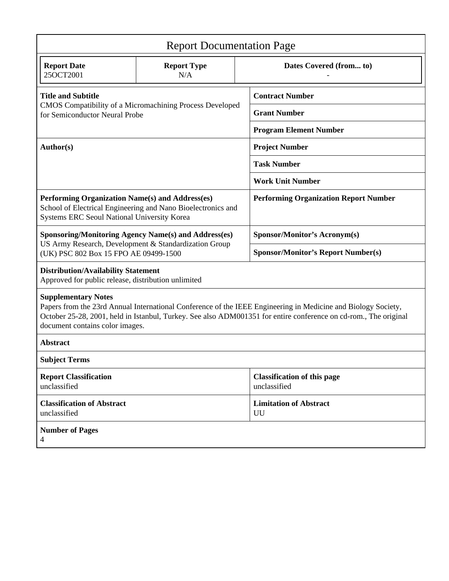| <b>Report Documentation Page</b>                                                                                                                                                                                                                                                                   |                           |                                                    |                                     |  |
|----------------------------------------------------------------------------------------------------------------------------------------------------------------------------------------------------------------------------------------------------------------------------------------------------|---------------------------|----------------------------------------------------|-------------------------------------|--|
| <b>Report Date</b><br>25OCT2001                                                                                                                                                                                                                                                                    | <b>Report Type</b><br>N/A |                                                    | Dates Covered (from to)             |  |
| <b>Title and Subtitle</b><br>CMOS Compatibility of a Micromachining Process Developed<br>for Semiconductor Neural Probe                                                                                                                                                                            |                           |                                                    | <b>Contract Number</b>              |  |
|                                                                                                                                                                                                                                                                                                    |                           |                                                    | <b>Grant Number</b>                 |  |
|                                                                                                                                                                                                                                                                                                    |                           |                                                    | <b>Program Element Number</b>       |  |
| Author(s)                                                                                                                                                                                                                                                                                          |                           | <b>Project Number</b>                              |                                     |  |
|                                                                                                                                                                                                                                                                                                    |                           | <b>Task Number</b>                                 |                                     |  |
|                                                                                                                                                                                                                                                                                                    |                           | <b>Work Unit Number</b>                            |                                     |  |
| Performing Organization Name(s) and Address(es)<br>School of Electrical Engineering and Nano Bioelectronics and<br>Systems ERC Seoul National University Korea                                                                                                                                     |                           | <b>Performing Organization Report Number</b>       |                                     |  |
| <b>Sponsoring/Monitoring Agency Name(s) and Address(es)</b>                                                                                                                                                                                                                                        |                           |                                                    | Sponsor/Monitor's Acronym(s)        |  |
| US Army Research, Development & Standardization Group<br>(UK) PSC 802 Box 15 FPO AE 09499-1500                                                                                                                                                                                                     |                           | <b>Sponsor/Monitor's Report Number(s)</b>          |                                     |  |
| <b>Distribution/Availability Statement</b><br>Approved for public release, distribution unlimited                                                                                                                                                                                                  |                           |                                                    |                                     |  |
| <b>Supplementary Notes</b><br>Papers from the 23rd Annual International Conference of the IEEE Engineering in Medicine and Biology Society,<br>October 25-28, 2001, held in Istanbul, Turkey. See also ADM001351 for entire conference on cd-rom., The original<br>document contains color images. |                           |                                                    |                                     |  |
| <b>Abstract</b>                                                                                                                                                                                                                                                                                    |                           |                                                    |                                     |  |
| <b>Subject Terms</b>                                                                                                                                                                                                                                                                               |                           |                                                    |                                     |  |
| <b>Report Classification</b><br>unclassified                                                                                                                                                                                                                                                       |                           | <b>Classification of this page</b><br>unclassified |                                     |  |
| <b>Classification of Abstract</b><br>unclassified                                                                                                                                                                                                                                                  |                           |                                                    | <b>Limitation of Abstract</b><br>UU |  |
| <b>Number of Pages</b><br>4                                                                                                                                                                                                                                                                        |                           |                                                    |                                     |  |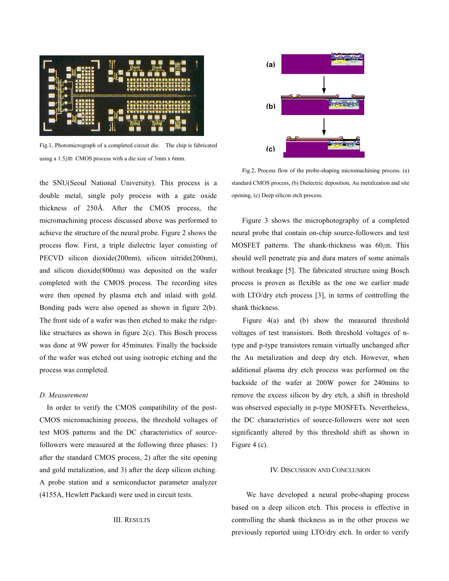

Fig.1, Photomicrograph of a completed circuit die. The chip is fabricated using a  $1.5 \mu$ m CMOS process with a die size of 3mm x 6mm.

the SNU(Seoul National University). This process is a double metal, single poly process with a gate oxide thickness of 250Å. After the CMOS process, the micromachining process discussed above was performed to achieve the structure of the neural probe. Figure 2 shows the process flow. First, a triple dielectric layer consisting of PECVD silicon dioxide(200nm), silicon nitride(200nm), and silicon dioxide(800nm) was deposited on the wafer completed with the CMOS process. The recording sites were then opened by plasma etch and inlaid with gold. Bonding pads were also opened as shown in figure  $2(b)$ . The front side of a wafer was then etched to make the ridgelike structures as shown in figure  $2(c)$ . This Bosch process was done at 9W power for 45minutes. Finally the backside of the wafer was etched out using isotropic etching and the process was completed.

## D. Measurement

In order to verify the CMOS compatibility of the post-CMOS micromachining process, the threshold voltages of test MOS patterns and the DC characteristics of sourcefollowers were measured at the following three phases: 1) after the standard CMOS process, 2) after the site opening and gold metalization, and 3) after the deep silicon etching. A probe station and a semiconductor parameter analyzer (4155A, Hewlett Packard) were used in circuit tests.

# **III. RESULTS**



Fig.2, Process flow of the probe-shaping micromachining process. (a) standard CMOS process, (b) Dielectric deposition, Au metalization and site opening, (c) Deep silicon etch process.

Figure 3 shows the microphotography of a completed neural probe that contain on-chip source-followers and test MOSFET patterns. The shank-thickness was  $60/\mu m$ . This should well penetrate pia and dura maters of some animals without breakage [5]. The fabricated structure using Bosch process is proven as flexible as the one we earlier made with LTO/dry etch process [3], in terms of controlling the shank thickness.

Figure  $4(a)$  and (b) show the measured threshold voltages of test transistors. Both threshold voltages of ntype and p-type transistors remain virtually unchanged after the Au metalization and deep dry etch. However, when additional plasma dry etch process was performed on the backside of the wafer at 200W power for 240mins to remove the excess silicon by dry etch, a shift in threshold was observed especially in p-type MOSFETs. Nevertheless, the DC characteristics of source-followers were not seen significantly altered by this threshold shift as shown in Figure 4 (c).

#### **IV. DISCUSSION AND CONCLUSION**

We have developed a neural probe-shaping process based on a deep silicon etch. This process is effective in controlling the shank thickness as in the other process we previously reported using LTO/dry etch. In order to verify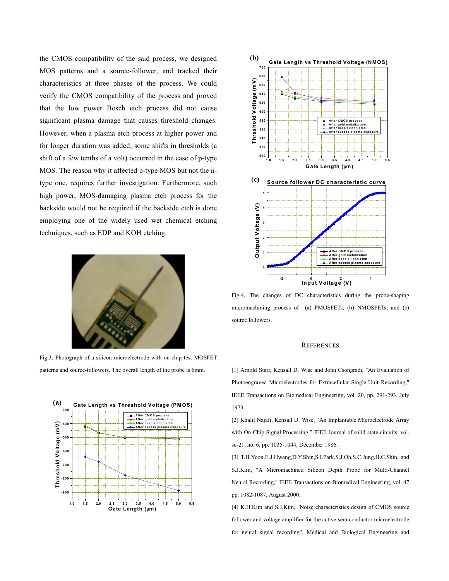the CMOS compatibility of the said process, we designed MOS patterns and a source-follower, and tracked their characteristics at three phases of the process. We could verify the CMOS compatibility of the process and proved that the low power Bosch etch process did not cause significant plasma damage that causes threshold changes. However, when a plasma etch process at higher power and for longer duration was added, some shifts in thresholds (a shift of a few tenths of a volt) occurred in the case of p-type MOS. The reason why it affected p-type MOS but not the ntype one, requires further investigation. Furthermore, such high power, MOS-damaging plasma etch process for the backside would not be required if the backside etch is done employing one of the widely used wet chemical etching techniques, such as EDP and KOH etching.



Fig.3, Photograph of a silicon microelectrode with on-chip test MOSFET patterns and source-followers. The overall length of the probe is 6mm.





Fig.4, The changes of DC characteristics during the probe-shaping micromachining process of (a) PMOSFETs, (b) NMOSFETs, and (c) source followers.

#### **REFERENCES**

[1] Arnold Starr, Kensall D. Wise and John Csongradi, "An Evaluation of Photoengraved Microelectrodes for Extracellular Single-Unit Recording," IEEE Transactions on Biomedical Engineering, vol. 20, pp. 291-293, July 1973.

[2] Khalil Najafi, Kensall D. Wise, "An Implantable Microelectrode Array with On-Chip Signal Processing," IEEE Journal of solid-state circuits, vol. sc-21, no. 6, pp. 1035-1044, December 1986.

[3] T.H.Yoon, E.J.Hwang, D.Y.Shin, S.I.Park, S.J.Oh, S.C.Jung, H.C.Shin, and S.J.Kim, "A Micromachined Silicon Depth Probe for Multi-Channel Neural Recording," IEEE Transactions on Biomedical Engineering, vol. 47, pp. 1082-1087, August 2000.

[4] K.H.Kim and S.J.Kim, "Noise characteristics design of CMOS source follower and voltage amplifier for the active semiconductor microelectrode for neural signal recording", Medical and Biological Engineering and